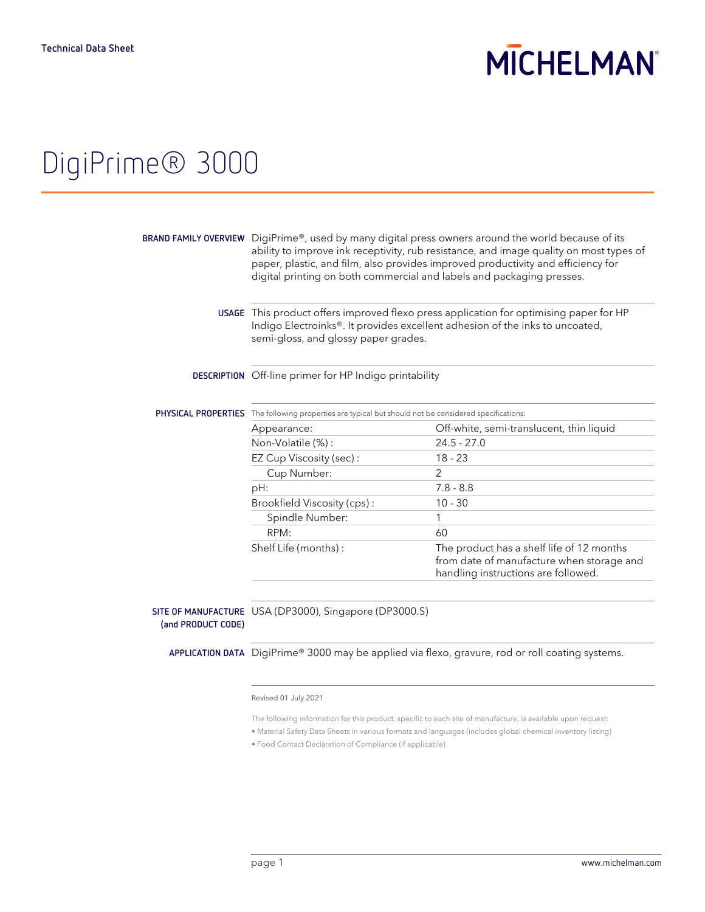# **MICHELMAN**

# DigiPrime® 3000

|                    | BRAND FAMILY OVERVIEW DigiPrime®, used by many digital press owners around the world because of its<br>ability to improve ink receptivity, rub resistance, and image quality on most types of<br>paper, plastic, and film, also provides improved productivity and efficiency for<br>digital printing on both commercial and labels and packaging presses. |                                                                                                                               |
|--------------------|------------------------------------------------------------------------------------------------------------------------------------------------------------------------------------------------------------------------------------------------------------------------------------------------------------------------------------------------------------|-------------------------------------------------------------------------------------------------------------------------------|
|                    | USAGE This product offers improved flexo press application for optimising paper for HP<br>Indigo Electroinks®. It provides excellent adhesion of the inks to uncoated,<br>semi-gloss, and glossy paper grades.                                                                                                                                             |                                                                                                                               |
|                    | DESCRIPTION Off-line primer for HP Indigo printability                                                                                                                                                                                                                                                                                                     |                                                                                                                               |
|                    | <b>PHYSICAL PROPERTIES</b> The following properties are typical but should not be considered specifications:                                                                                                                                                                                                                                               |                                                                                                                               |
|                    | Appearance:                                                                                                                                                                                                                                                                                                                                                | Off-white, semi-translucent, thin liquid                                                                                      |
|                    | Non-Volatile (%):                                                                                                                                                                                                                                                                                                                                          | $24.5 - 27.0$                                                                                                                 |
|                    | EZ Cup Viscosity (sec):                                                                                                                                                                                                                                                                                                                                    | $18 - 23$                                                                                                                     |
|                    | Cup Number:                                                                                                                                                                                                                                                                                                                                                | $\overline{2}$                                                                                                                |
|                    | pH:                                                                                                                                                                                                                                                                                                                                                        | $7.8 - 8.8$                                                                                                                   |
|                    | Brookfield Viscosity (cps):                                                                                                                                                                                                                                                                                                                                | $10 - 30$                                                                                                                     |
|                    | Spindle Number:                                                                                                                                                                                                                                                                                                                                            | 1                                                                                                                             |
|                    | RPM:                                                                                                                                                                                                                                                                                                                                                       | 60                                                                                                                            |
|                    | Shelf Life (months):                                                                                                                                                                                                                                                                                                                                       | The product has a shelf life of 12 months<br>from date of manufacture when storage and<br>handling instructions are followed. |
| (and PRODUCT CODE) | SITE OF MANUFACTURE USA (DP3000), Singapore (DP3000.S)                                                                                                                                                                                                                                                                                                     |                                                                                                                               |
|                    | APPLICATION DATA DigiPrime® 3000 may be applied via flexo, gravure, rod or roll coating systems.                                                                                                                                                                                                                                                           |                                                                                                                               |
|                    | Revised 01 July 2021                                                                                                                                                                                                                                                                                                                                       |                                                                                                                               |

The following information for this product, specific to each site of manufacture, is available upon request:

• Material Safety Data Sheets in various formats and languages (includes global chemical inventory listing)

• Food Contact Declaration of Compliance (if applicable)